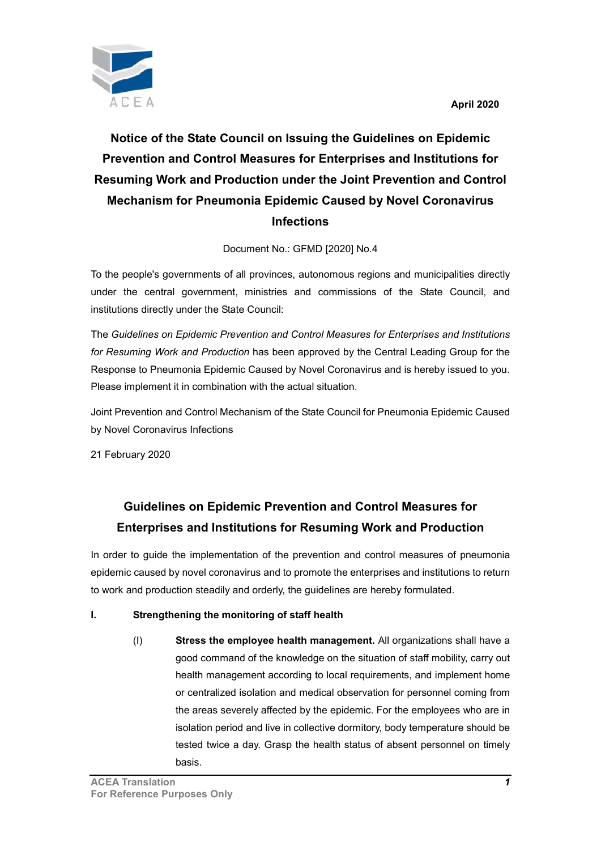April 2020



# Notice of the State Council on Issuing the Guidelines on Epidemic Prevention and Control Measures for Enterprises and Institutions for Resuming Work and Production under the Joint Prevention and Control Mechanism for Pneumonia Epidemic Caused by Novel Coronavirus Infections

Document No.: GFMD [2020] No.4

To the people's governments of all provinces, autonomous regions and municipalities directly under the central government, ministries and commissions of the State Council, and institutions directly under the State Council:

The *Guidelines on Epidemic Prevention and Control Measures for Enterprises and Institutions for Resuming Work and Production* has been approved by the Central Leading Group for the Response to Pneumonia Epidemic Caused by Novel Coronavirus and is hereby issued to you. Please implement it in combination with the actual situation.

Joint Prevention and Control Mechanism of the State Council for Pneumonia Epidemic Caused by Novel Coronavirus Infections

21 February 2020

## Guidelines on Epidemic Prevention and Control Measures for Enterprises and Institutions for Resuming Work and Production

In order to guide the implementation of the prevention and control measures of pneumonia epidemic caused by novel coronavirus and to promote the enterprises and institutions to return to work and production steadily and orderly, the guidelines are hereby formulated.

### I. Strengthening the monitoring of staff health

(I) Stress the employee health management. All organizations shall have a good command of the knowledge on the situation of staff mobility, carry out health management according to local requirements, and implement home or centralized isolation and medical observation for personnel coming from the areas severely affected by the epidemic. For the employees who are in isolation period and live in collective dormitory, body temperature should be tested twice a day. Grasp the health status of absent personnel on timely basis.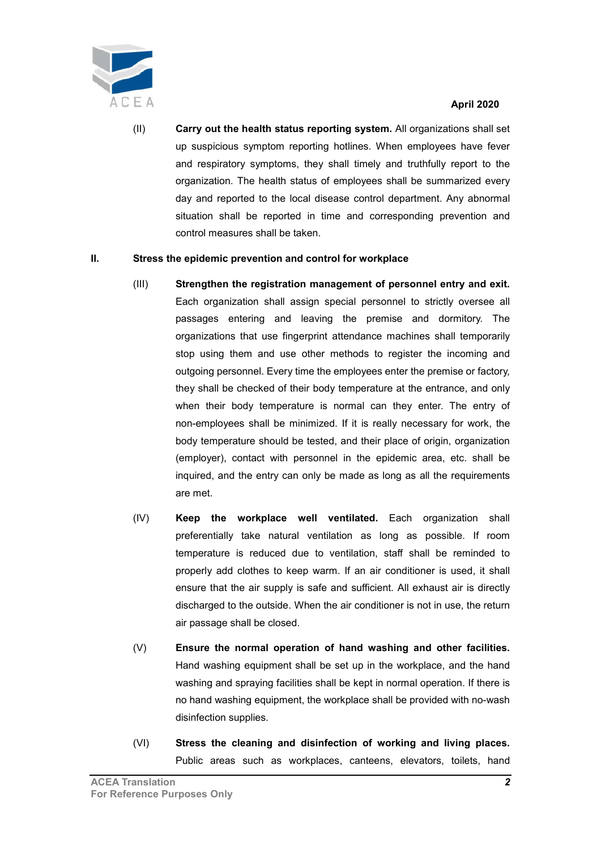

(II) Carry out the health status reporting system. All organizations shall set up suspicious symptom reporting hotlines. When employees have fever and respiratory symptoms, they shall timely and truthfully report to the organization. The health status of employees shall be summarized every day and reported to the local disease control department. Any abnormal situation shall be reported in time and corresponding prevention and control measures shall be taken.

#### II. Stress the epidemic prevention and control for workplace

- (III) Strengthen the registration management of personnel entry and exit. Each organization shall assign special personnel to strictly oversee all passages entering and leaving the premise and dormitory. The organizations that use fingerprint attendance machines shall temporarily stop using them and use other methods to register the incoming and outgoing personnel. Every time the employees enter the premise or factory, they shall be checked of their body temperature at the entrance, and only when their body temperature is normal can they enter. The entry of non-employees shall be minimized. If it is really necessary for work, the body temperature should be tested, and their place of origin, organization (employer), contact with personnel in the epidemic area, etc. shall be inquired, and the entry can only be made as long as all the requirements are met.
- (IV) Keep the workplace well ventilated. Each organization shall preferentially take natural ventilation as long as possible. If room temperature is reduced due to ventilation, staff shall be reminded to properly add clothes to keep warm. If an air conditioner is used, it shall ensure that the air supply is safe and sufficient. All exhaust air is directly discharged to the outside. When the air conditioner is not in use, the return air passage shall be closed.
- (V) Ensure the normal operation of hand washing and other facilities. Hand washing equipment shall be set up in the workplace, and the hand washing and spraying facilities shall be kept in normal operation. If there is no hand washing equipment, the workplace shall be provided with no-wash disinfection supplies.
- (VI) Stress the cleaning and disinfection of working and living places. Public areas such as workplaces, canteens, elevators, toilets, hand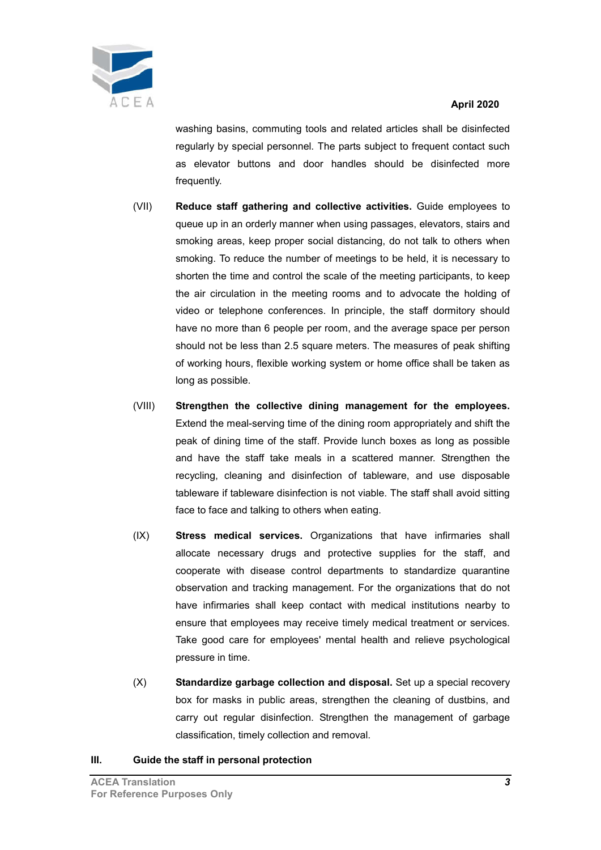



washing basins, commuting tools and related articles shall be disinfected regularly by special personnel. The parts subject to frequent contact such as elevator buttons and door handles should be disinfected more frequently.

- (VII) Reduce staff gathering and collective activities. Guide employees to queue up in an orderly manner when using passages, elevators, stairs and smoking areas, keep proper social distancing, do not talk to others when smoking. To reduce the number of meetings to be held, it is necessary to shorten the time and control the scale of the meeting participants, to keep the air circulation in the meeting rooms and to advocate the holding of video or telephone conferences. In principle, the staff dormitory should have no more than 6 people per room, and the average space per person should not be less than 2.5 square meters. The measures of peak shifting of working hours, flexible working system or home office shall be taken as long as possible.
- (VIII) Strengthen the collective dining management for the employees. Extend the meal-serving time of the dining room appropriately and shift the peak of dining time of the staff. Provide lunch boxes as long as possible and have the staff take meals in a scattered manner. Strengthen the recycling, cleaning and disinfection of tableware, and use disposable tableware if tableware disinfection is not viable. The staff shall avoid sitting face to face and talking to others when eating.
- (IX) Stress medical services. Organizations that have infirmaries shall allocate necessary drugs and protective supplies for the staff, and cooperate with disease control departments to standardize quarantine observation and tracking management. For the organizations that do not have infirmaries shall keep contact with medical institutions nearby to ensure that employees may receive timely medical treatment or services. Take good care for employees' mental health and relieve psychological pressure in time.
- $(X)$  Standardize garbage collection and disposal. Set up a special recovery box for masks in public areas, strengthen the cleaning of dustbins, and carry out regular disinfection. Strengthen the management of garbage classification, timely collection and removal.

#### III. Guide the staff in personal protection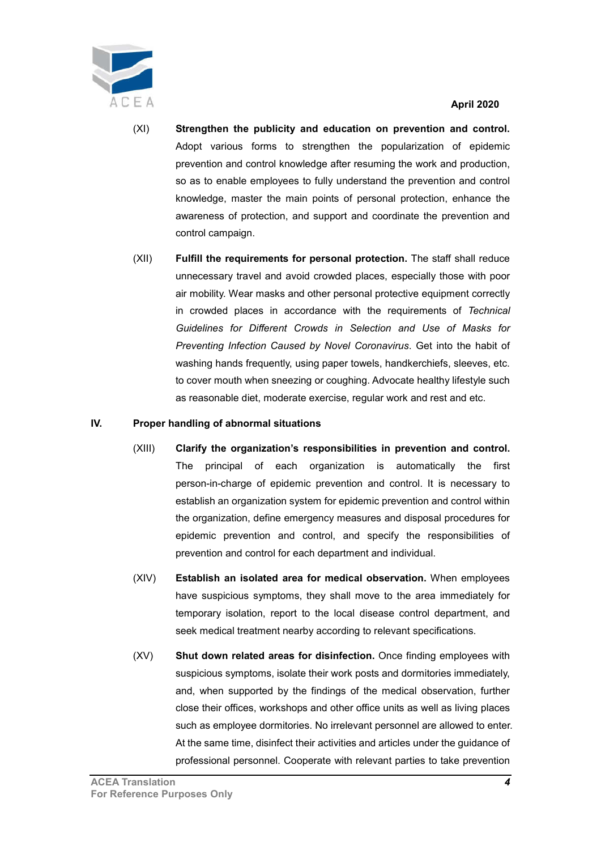

- (XI) Strengthen the publicity and education on prevention and control. Adopt various forms to strengthen the popularization of epidemic prevention and control knowledge after resuming the work and production, so as to enable employees to fully understand the prevention and control knowledge, master the main points of personal protection, enhance the awareness of protection, and support and coordinate the prevention and control campaign.
- (XII) Fulfill the requirements for personal protection. The staff shall reduce unnecessary travel and avoid crowded places, especially those with poor air mobility. Wear masks and other personal protective equipment correctly in crowded places in accordance with the requirements of *Technical Guidelines for Different Crowds in Selection and Use of Masks for Preventing Infection Caused by Novel Coronavirus*. Get into the habit of washing hands frequently, using paper towels, handkerchiefs, sleeves, etc. to cover mouth when sneezing or coughing. Advocate healthy lifestyle such as reasonable diet, moderate exercise, regular work and rest and etc.

#### IV. Proper handling of abnormal situations

- (XIII) Clarify the organization's responsibilities in prevention and control. The principal of each organization is automatically the first person-in-charge of epidemic prevention and control. It is necessary to establish an organization system for epidemic prevention and control within the organization, define emergency measures and disposal procedures for epidemic prevention and control, and specify the responsibilities of prevention and control for each department and individual.
- (XIV) Establish an isolated area for medical observation. When employees have suspicious symptoms, they shall move to the area immediately for temporary isolation, report to the local disease control department, and seek medical treatment nearby according to relevant specifications.
- (XV) Shut down related areas for disinfection. Once finding employees with suspicious symptoms, isolate their work posts and dormitories immediately, and, when supported by the findings of the medical observation, further close their offices, workshops and other office units as well as living places such as employee dormitories. No irrelevant personnel are allowed to enter. At the same time, disinfect their activities and articles under the guidance of professional personnel. Cooperate with relevant parties to take prevention